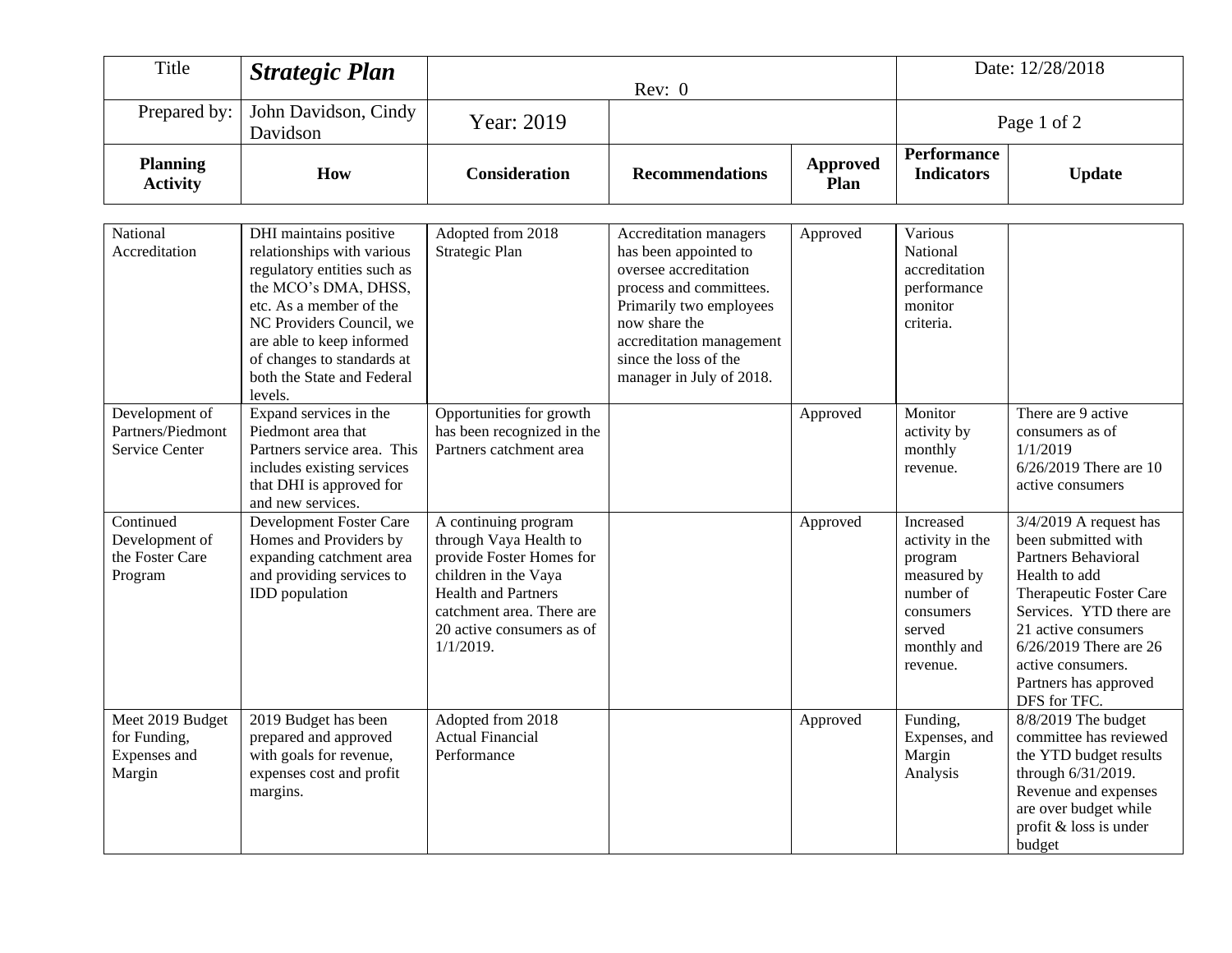| Title                                                      | <b>Strategic Plan</b>                                                                                                                                                                                                                                                  | Rev: 0                                                                                                                                                                                                     |                                                                                                                                                                                                                                  | Date: 12/28/2018        |                                                                                                                       |                                                                                                                                                                                                                                                              |
|------------------------------------------------------------|------------------------------------------------------------------------------------------------------------------------------------------------------------------------------------------------------------------------------------------------------------------------|------------------------------------------------------------------------------------------------------------------------------------------------------------------------------------------------------------|----------------------------------------------------------------------------------------------------------------------------------------------------------------------------------------------------------------------------------|-------------------------|-----------------------------------------------------------------------------------------------------------------------|--------------------------------------------------------------------------------------------------------------------------------------------------------------------------------------------------------------------------------------------------------------|
| Prepared by:                                               | John Davidson, Cindy<br>Davidson                                                                                                                                                                                                                                       | Year: 2019                                                                                                                                                                                                 |                                                                                                                                                                                                                                  |                         | Page 1 of 2                                                                                                           |                                                                                                                                                                                                                                                              |
| <b>Planning</b><br><b>Activity</b>                         | How                                                                                                                                                                                                                                                                    | <b>Consideration</b>                                                                                                                                                                                       | <b>Recommendations</b>                                                                                                                                                                                                           | <b>Approved</b><br>Plan | <b>Performance</b><br><b>Indicators</b>                                                                               | <b>Update</b>                                                                                                                                                                                                                                                |
| National<br>Accreditation                                  | DHI maintains positive<br>relationships with various<br>regulatory entities such as<br>the MCO's DMA, DHSS,<br>etc. As a member of the<br>NC Providers Council, we<br>are able to keep informed<br>of changes to standards at<br>both the State and Federal<br>levels. | Adopted from 2018<br>Strategic Plan                                                                                                                                                                        | Accreditation managers<br>has been appointed to<br>oversee accreditation<br>process and committees.<br>Primarily two employees<br>now share the<br>accreditation management<br>since the loss of the<br>manager in July of 2018. | Approved                | Various<br>National<br>accreditation<br>performance<br>monitor<br>criteria.                                           |                                                                                                                                                                                                                                                              |
| Development of<br>Partners/Piedmont<br>Service Center      | Expand services in the<br>Piedmont area that<br>Partners service area. This<br>includes existing services<br>that DHI is approved for<br>and new services.                                                                                                             | Opportunities for growth<br>has been recognized in the<br>Partners catchment area                                                                                                                          |                                                                                                                                                                                                                                  | Approved                | Monitor<br>activity by<br>monthly<br>revenue.                                                                         | There are 9 active<br>consumers as of<br>1/1/2019<br>$6/26/2019$ There are 10<br>active consumers                                                                                                                                                            |
| Continued<br>Development of<br>the Foster Care<br>Program  | Development Foster Care<br>Homes and Providers by<br>expanding catchment area<br>and providing services to<br>IDD population                                                                                                                                           | A continuing program<br>through Vaya Health to<br>provide Foster Homes for<br>children in the Vaya<br><b>Health and Partners</b><br>catchment area. There are<br>20 active consumers as of<br>$1/1/2019$ . |                                                                                                                                                                                                                                  | Approved                | Increased<br>activity in the<br>program<br>measured by<br>number of<br>consumers<br>served<br>monthly and<br>revenue. | $3/4/2019$ A request has<br>been submitted with<br>Partners Behavioral<br>Health to add<br>Therapeutic Foster Care<br>Services. YTD there are<br>21 active consumers<br>6/26/2019 There are 26<br>active consumers.<br>Partners has approved<br>DFS for TFC. |
| Meet 2019 Budget<br>for Funding,<br>Expenses and<br>Margin | 2019 Budget has been<br>prepared and approved<br>with goals for revenue,<br>expenses cost and profit<br>margins.                                                                                                                                                       | Adopted from 2018<br><b>Actual Financial</b><br>Performance                                                                                                                                                |                                                                                                                                                                                                                                  | Approved                | Funding,<br>Expenses, and<br>Margin<br>Analysis                                                                       | 8/8/2019 The budget<br>committee has reviewed<br>the YTD budget results<br>through 6/31/2019.<br>Revenue and expenses<br>are over budget while<br>profit & loss is under<br>budget                                                                           |